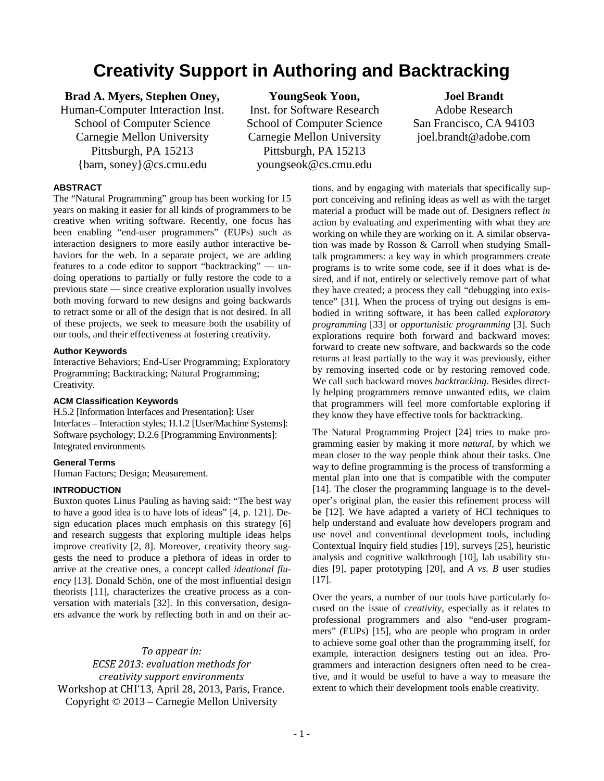# **Creativity Support in Authoring and Backtracking**

# **Brad A. Myers, Stephen Oney,**

Human-Computer Interaction Inst. School of Computer Science Carnegie Mellon University Pittsburgh, PA 15213 {bam, soney}@cs.cmu.edu

**YoungSeok Yoon,** Inst. for Software Research School of Computer Science Carnegie Mellon University Pittsburgh, PA 15213 youngseok@cs.cmu.edu

**Joel Brandt** Adobe Research San Francisco, CA 94103 joel.brandt@adobe.com

# **ABSTRACT**

The "Natural Programming" group has been working for 15 years on making it easier for all kinds of programmers to be creative when writing software. Recently, one focus has been enabling "end-user programmers" (EUPs) such as interaction designers to more easily author interactive behaviors for the web. In a separate project, we are adding features to a code editor to support "backtracking" — undoing operations to partially or fully restore the code to a previous state — since creative exploration usually involves both moving forward to new designs and going backwards to retract some or all of the design that is not desired. In all of these projects, we seek to measure both the usability of our tools, and their effectiveness at fostering creativity.

## **Author Keywords**

Interactive Behaviors; End-User Programming; Exploratory Programming; Backtracking; Natural Programming; Creativity.

# **ACM Classification Keywords**

H.5.2 [Information Interfaces and Presentation]: User Interfaces – Interaction styles; H.1.2 [User/Machine Systems]: Software psychology; D.2.6 [Programming Environments]: Integrated environments

# **General Terms**

Human Factors; Design; Measurement.

# **INTRODUCTION**

Buxton quotes Linus Pauling as having said: "The best way to have a good idea is to have lots of ideas" [4, p. 121]. Design education places much emphasis on this strategy [6] and research suggests that exploring multiple ideas helps improve creativity [2, 8]. Moreover, creativity theory suggests the need to produce a plethora of ideas in order to arrive at the creative ones, a concept called *ideational fluency* [13]. Donald Schön, one of the most influential design theorists [11], characterizes the creative process as a conversation with materials [32]. In this conversation, designers advance the work by reflecting both in and on their ac-

# *To appear in:*

*ECSE 2013: evaluation methods for creativity support environments* Workshop at CHI'13, April 28, 2013, Paris, France. Copyright © 2013 – Carnegie Mellon University

tions, and by engaging with materials that specifically support conceiving and refining ideas as well as with the target material a product will be made out of. Designers reflect *in* action by evaluating and experimenting with what they are working on while they are working on it. A similar observation was made by Rosson & Carroll when studying Smalltalk programmers: a key way in which programmers create programs is to write some code, see if it does what is desired, and if not, entirely or selectively remove part of what they have created; a process they call "debugging into existence" [31]. When the process of trying out designs is embodied in writing software, it has been called *exploratory programming* [33] or *opportunistic programming* [3]. Such explorations require both forward and backward moves: forward to create new software, and backwards so the code returns at least partially to the way it was previously, either by removing inserted code or by restoring removed code. We call such backward moves *backtracking*. Besides directly helping programmers remove unwanted edits, we claim that programmers will feel more comfortable exploring if they know they have effective tools for backtracking.

The Natural Programming Project [24] tries to make programming easier by making it more *natural*, by which we mean closer to the way people think about their tasks. One way to define programming is the process of transforming a mental plan into one that is compatible with the computer [14]. The closer the programming language is to the developer's original plan, the easier this refinement process will be [12]. We have adapted a variety of HCI techniques to help understand and evaluate how developers program and use novel and conventional development tools, including Contextual Inquiry field studies [19], surveys [25], heuristic analysis and cognitive walkthrough [10], lab usability studies [9], paper prototyping [20], and *A vs. B* user studies [17].

Over the years, a number of our tools have particularly focused on the issue of *creativity*, especially as it relates to professional programmers and also "end-user programmers" (EUPs) [15], who are people who program in order to achieve some goal other than the programming itself, for example, interaction designers testing out an idea. Programmers and interaction designers often need to be creative, and it would be useful to have a way to measure the extent to which their development tools enable creativity.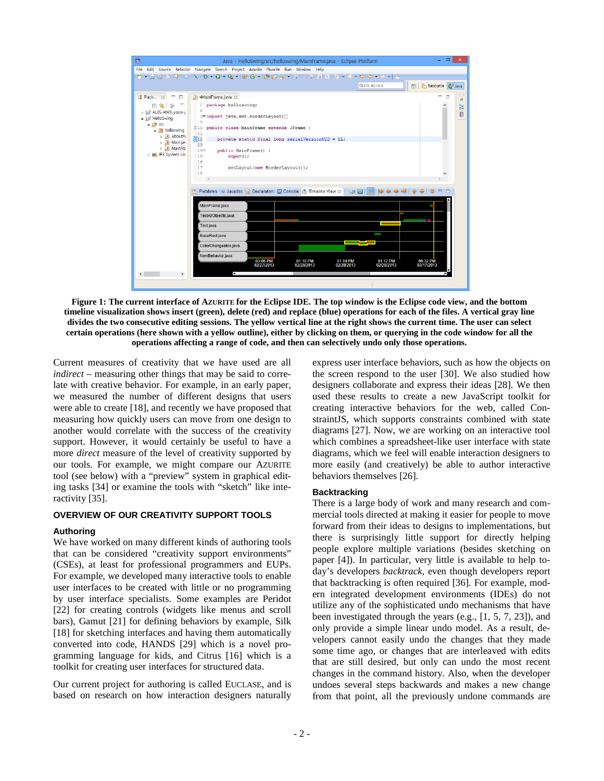

**Figure 1: The current interface of AZURITE for the Eclipse IDE. The top window is the Eclipse code view, and the bottom timeline visualization shows insert (green), delete (red) and replace (blue) operations for each of the files. A vertical gray line divides the two consecutive editing sessions. The yellow vertical line at the right shows the current time. The user can select certain operations (here shown with a yellow outline), either by clicking on them, or querying in the code window for all the operations affecting a range of code, and then can selectively undo only those operations.**

Current measures of creativity that we have used are all *indirect* – measuring other things that may be said to correlate with creative behavior. For example, in an early paper, we measured the number of different designs that users were able to create [18], and recently we have proposed that measuring how quickly users can move from one design to another would correlate with the success of the creativity support. However, it would certainly be useful to have a more *direct* measure of the level of creativity supported by our tools. For example, we might compare our AZURITE tool (see below) with a "preview" system in graphical editing tasks [34] or examine the tools with "sketch" like interactivity [35].

# **OVERVIEW OF OUR CREATIVITY SUPPORT TOOLS**

### **Authoring**

We have worked on many different kinds of authoring tools that can be considered "creativity support environments" (CSEs), at least for professional programmers and EUPs. For example, we developed many interactive tools to enable user interfaces to be created with little or no programming by user interface specialists. Some examples are Peridot [22] for creating controls (widgets like menus and scroll bars), Gamut [21] for defining behaviors by example, Silk [18] for sketching interfaces and having them automatically converted into code, HANDS [29] which is a novel programming language for kids, and Citrus [16] which is a toolkit for creating user interfaces for structured data.

Our current project for authoring is called EUCLASE, and is based on research on how interaction designers naturally express user interface behaviors, such as how the objects on the screen respond to the user [30]. We also studied how designers collaborate and express their ideas [28]. We then used these results to create a new JavaScript toolkit for creating interactive behaviors for the web, called ConstraintJS, which supports constraints combined with state diagrams [27]. Now, we are working on an interactive tool which combines a spreadsheet-like user interface with state diagrams, which we feel will enable interaction designers to more easily (and creatively) be able to author interactive behaviors themselves [26].

#### **Backtracking**

There is a large body of work and many research and commercial tools directed at making it easier for people to move forward from their ideas to designs to implementations, but there is surprisingly little support for directly helping people explore multiple variations (besides sketching on paper [4]). In particular, very little is available to help today's developers *backtrack*, even though developers report that backtracking is often required [36]. For example, modern integrated development environments (IDEs) do not utilize any of the sophisticated undo mechanisms that have been investigated through the years (e.g., [1, 5, 7, 23]), and only provide a simple linear undo model. As a result, developers cannot easily undo the changes that they made some time ago, or changes that are interleaved with edits that are still desired, but only can undo the most recent changes in the command history. Also, when the developer undoes several steps backwards and makes a new change from that point, all the previously undone commands are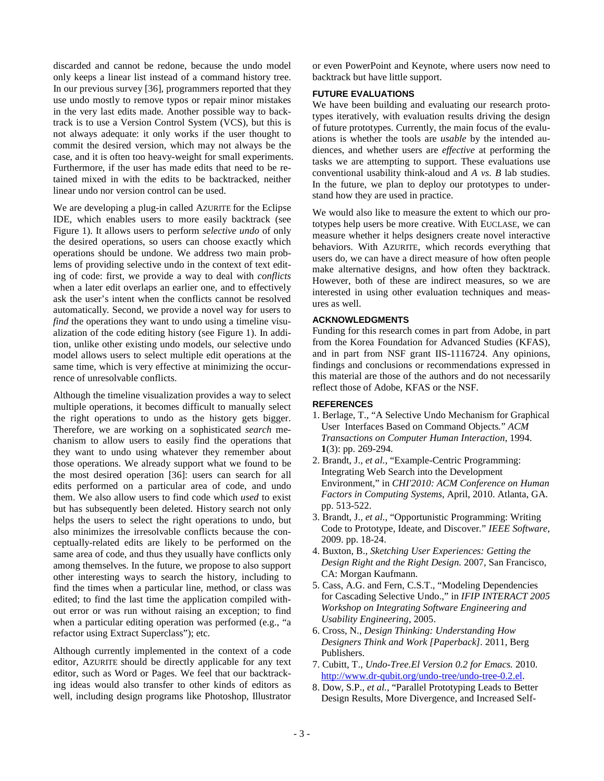discarded and cannot be redone, because the undo model only keeps a linear list instead of a command history tree. In our previous survey [36], programmers reported that they use undo mostly to remove typos or repair minor mistakes in the very last edits made. Another possible way to backtrack is to use a Version Control System (VCS), but this is not always adequate: it only works if the user thought to commit the desired version, which may not always be the case, and it is often too heavy-weight for small experiments. Furthermore, if the user has made edits that need to be retained mixed in with the edits to be backtracked, neither linear undo nor version control can be used.

We are developing a plug-in called AZURITE for the Eclipse IDE, which enables users to more easily backtrack (see Figure 1). It allows users to perform *selective undo* of only the desired operations, so users can choose exactly which operations should be undone. We address two main problems of providing selective undo in the context of text editing of code: first, we provide a way to deal with *conflicts* when a later edit overlaps an earlier one, and to effectively ask the user's intent when the conflicts cannot be resolved automatically. Second, we provide a novel way for users to *find* the operations they want to undo using a timeline visualization of the code editing history (see Figure 1). In addition, unlike other existing undo models, our selective undo model allows users to select multiple edit operations at the same time, which is very effective at minimizing the occurrence of unresolvable conflicts.

Although the timeline visualization provides a way to select multiple operations, it becomes difficult to manually select the right operations to undo as the history gets bigger. Therefore, we are working on a sophisticated *search* mechanism to allow users to easily find the operations that they want to undo using whatever they remember about those operations. We already support what we found to be the most desired operation [36]: users can search for all edits performed on a particular area of code, and undo them. We also allow users to find code which *used* to exist but has subsequently been deleted. History search not only helps the users to select the right operations to undo, but also minimizes the irresolvable conflicts because the conceptually-related edits are likely to be performed on the same area of code, and thus they usually have conflicts only among themselves. In the future, we propose to also support other interesting ways to search the history, including to find the times when a particular line, method, or class was edited; to find the last time the application compiled without error or was run without raising an exception; to find when a particular editing operation was performed (e.g., "a refactor using Extract Superclass"); etc.

Although currently implemented in the context of a code editor, AZURITE should be directly applicable for any text editor, such as Word or Pages. We feel that our backtracking ideas would also transfer to other kinds of editors as well, including design programs like Photoshop, Illustrator or even PowerPoint and Keynote, where users now need to backtrack but have little support.

## **FUTURE EVALUATIONS**

We have been building and evaluating our research prototypes iteratively, with evaluation results driving the design of future prototypes. Currently, the main focus of the evaluations is whether the tools are *usable* by the intended audiences, and whether users are *effective* at performing the tasks we are attempting to support. These evaluations use conventional usability think-aloud and *A vs. B* lab studies. In the future, we plan to deploy our prototypes to understand how they are used in practice.

We would also like to measure the extent to which our prototypes help users be more creative. With EUCLASE, we can measure whether it helps designers create novel interactive behaviors. With AZURITE, which records everything that users do, we can have a direct measure of how often people make alternative designs, and how often they backtrack. However, both of these are indirect measures, so we are interested in using other evaluation techniques and measures as well.

## **ACKNOWLEDGMENTS**

Funding for this research comes in part from Adobe, in part from the Korea Foundation for Advanced Studies (KFAS), and in part from NSF grant IIS-1116724. Any opinions, findings and conclusions or recommendations expressed in this material are those of the authors and do not necessarily reflect those of Adobe, KFAS or the NSF.

# **REFERENCES**

- 1. Berlage, T., "A Selective Undo Mechanism for Graphical User Interfaces Based on Command Objects*.*" *ACM Transactions on Computer Human Interaction*, 1994. **1**(3): pp. 269-294.
- 2. Brandt, J.*, et al.*, "Example-Centric Programming: Integrating Web Search into the Development Environment," in *CHI'2010: ACM Conference on Human Factors in Computing Systems*, April, 2010. Atlanta, GA. pp. 513-522.
- 3. Brandt, J.*, et al.*, "Opportunistic Programming: Writing Code to Prototype, Ideate, and Discover*.*" *IEEE Software*, 2009. pp. 18-24.
- 4. Buxton, B., *Sketching User Experiences: Getting the Design Right and the Right Design.* 2007, San Francisco, CA: Morgan Kaufmann.
- 5. Cass, A.G. and Fern, C.S.T., "Modeling Dependencies for Cascading Selective Undo.," in *IFIP INTERACT 2005 Workshop on Integrating Software Engineering and Usability Engineering*, 2005.
- 6. Cross, N., *Design Thinking: Understanding How Designers Think and Work [Paperback].* 2011, Berg Publishers.
- 7. Cubitt, T., *Undo-Tree.El Version 0.2 for Emacs.* 2010. [http://www.dr-qubit.org/undo-tree/undo-tree-0.2.el.](http://www.dr-qubit.org/undo-tree/undo-tree-0.2.el)
- 8. Dow, S.P.*, et al.*, "Parallel Prototyping Leads to Better Design Results, More Divergence, and Increased Self-